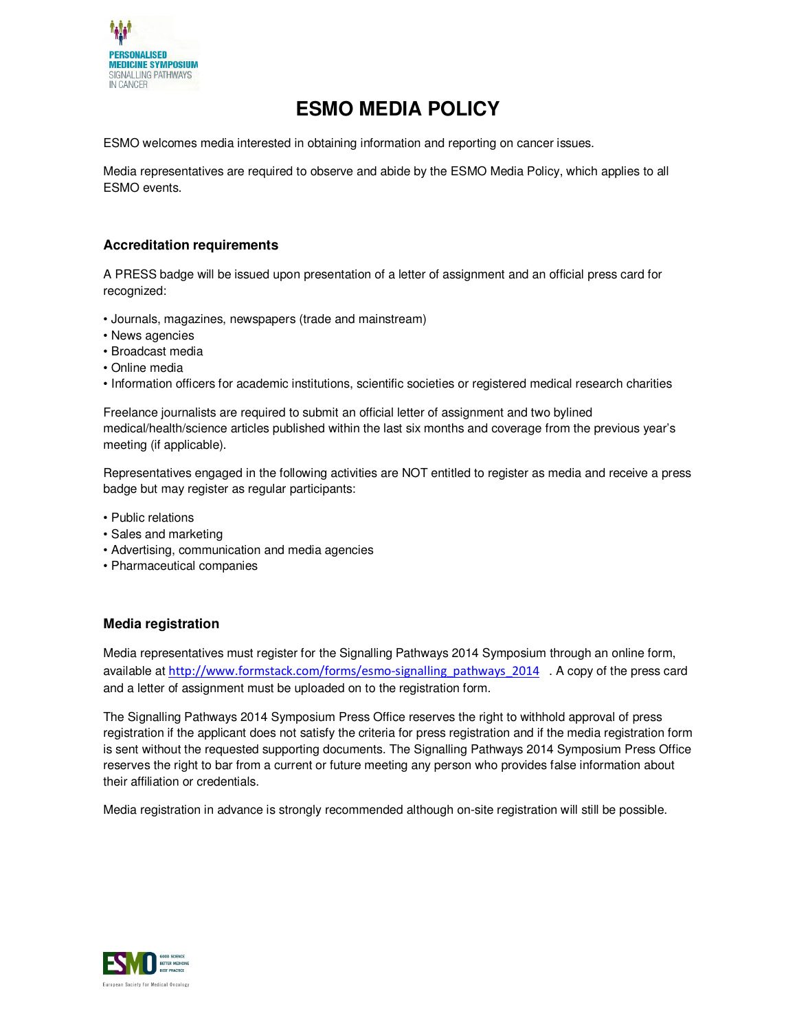

# **ESMO MEDIA POLICY**

ESMO welcomes media interested in obtaining information and reporting on cancer issues.

Media representatives are required to observe and abide by the ESMO Media Policy, which applies to all ESMO events.

## **Accreditation requirements**

A PRESS badge will be issued upon presentation of a letter of assignment and an official press card for recognized:

- Journals, magazines, newspapers (trade and mainstream)
- News agencies
- Broadcast media
- Online media
- Information officers for academic institutions, scientific societies or registered medical research charities

Freelance journalists are required to submit an official letter of assignment and two bylined medical/health/science articles published within the last six months and coverage from the previous year's meeting (if applicable).

Representatives engaged in the following activities are NOT entitled to register as media and receive a press badge but may register as regular participants:

- Public relations
- Sales and marketing
- Advertising, communication and media agencies
- Pharmaceutical companies

### **Media registration**

Media representatives must register for the Signalling Pathways 2014 Symposium through an online form, available at http://www.formstack.com/forms/esmo-signalling\_pathways\_2014 . A copy of the press card and a letter of assignment must be uploaded on to the registration form.

The Signalling Pathways 2014 Symposium Press Office reserves the right to withhold approval of press registration if the applicant does not satisfy the criteria for press registration and if the media registration form is sent without the requested supporting documents. The Signalling Pathways 2014 Symposium Press Office reserves the right to bar from a current or future meeting any person who provides false information about their affiliation or credentials.

Media registration in advance is strongly recommended although on-site registration will still be possible.